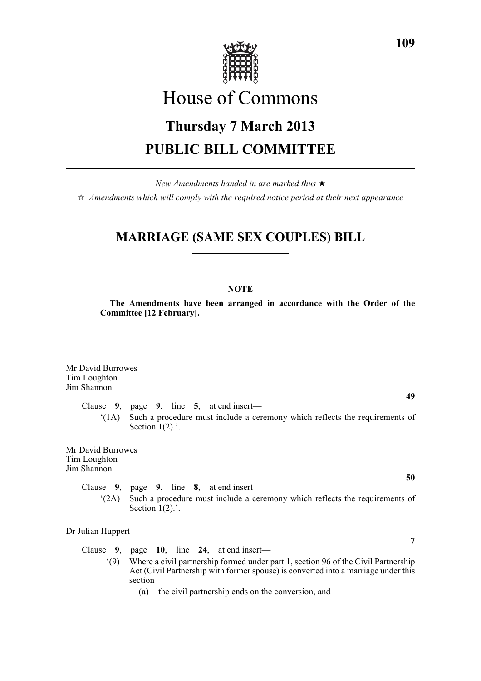

# House of Commons

# **Thursday 7 March 2013 PUBLIC BILL COMMITTEE**

*New Amendments handed in are marked thus* \*

 $\dot{\varphi}$  *Amendments which will comply with the required notice period at their next appearance* 

# **MARRIAGE (SAME SEX COUPLES) BILL**

# **NOTE**

**The Amendments have been arranged in accordance with the Order of the Committee [12 February].**

Mr David Burrowes Tim Loughton Jim Shannon

Clause **9**, page **9**, line **5**, at end insert—

'(1A) Such a procedure must include a ceremony which reflects the requirements of Section  $1(2)$ .'.

Mr David Burrowes Tim Loughton Jim Shannon

> Clause **9**, page **9**, line **8**, at end insert— '(2A) Such a procedure must include a ceremony which reflects the requirements of Section  $1(2)$ .'.

Dr Julian Huppert

Clause **9**, page **10**, line **24**, at end insert—

'(9) Where a civil partnership formed under part 1, section 96 of the Civil Partnership Act (Civil Partnership with former spouse) is converted into a marriage under this section—

(a) the civil partnership ends on the conversion, and

**49**

**50**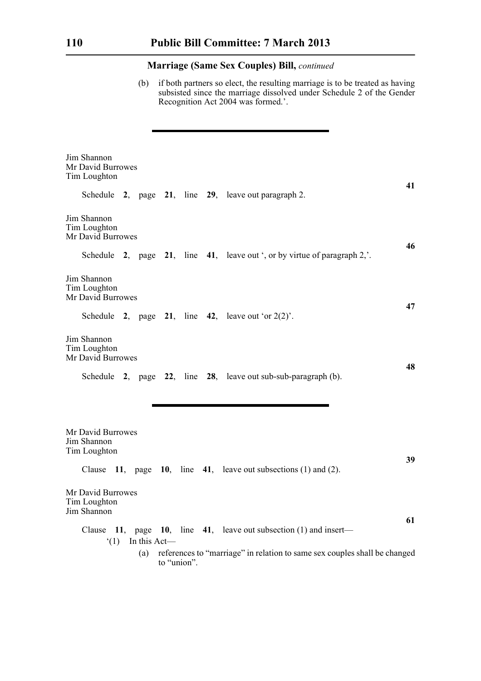(b) if both partners so elect, the resulting marriage is to be treated as having subsisted since the marriage dissolved under Schedule 2 of the Gender Recognition Act 2004 was formed.'.

| Jim Shannon<br>Mr David Burrowes<br>Tim Loughton |     |              |             |                                                                               | 41 |
|--------------------------------------------------|-----|--------------|-------------|-------------------------------------------------------------------------------|----|
|                                                  |     |              |             | Schedule 2, page 21, line 29, leave out paragraph 2.                          |    |
| Jim Shannon<br>Tim Loughton<br>Mr David Burrowes |     |              |             |                                                                               |    |
|                                                  |     |              |             | Schedule 2, page 21, line 41, leave out ', or by virtue of paragraph $2$ ,'.  | 46 |
| Jim Shannon<br>Tim Loughton<br>Mr David Burrowes |     |              |             |                                                                               |    |
|                                                  |     |              |             | Schedule 2, page 21, line 42, leave out 'or $2(2)$ '.                         | 47 |
| Jim Shannon<br>Tim Loughton<br>Mr David Burrowes |     |              |             |                                                                               |    |
|                                                  |     |              |             | Schedule $2$ , page $22$ , line $28$ , leave out sub-sub-paragraph (b).       | 48 |
|                                                  |     |              |             |                                                                               |    |
| Mr David Burrowes<br>Jim Shannon<br>Tim Loughton |     |              |             |                                                                               |    |
|                                                  |     |              |             | Clause $11$ , page $10$ , line $41$ , leave out subsections (1) and (2).      | 39 |
| Mr David Burrowes<br>Tim Loughton<br>Jim Shannon |     |              |             |                                                                               |    |
|                                                  |     |              |             | Clause $11$ , page $10$ , line $41$ , leave out subsection (1) and insert—    | 61 |
|                                                  | (1) | In this Act- | to "union". | (a) references to "marriage" in relation to same sex couples shall be changed |    |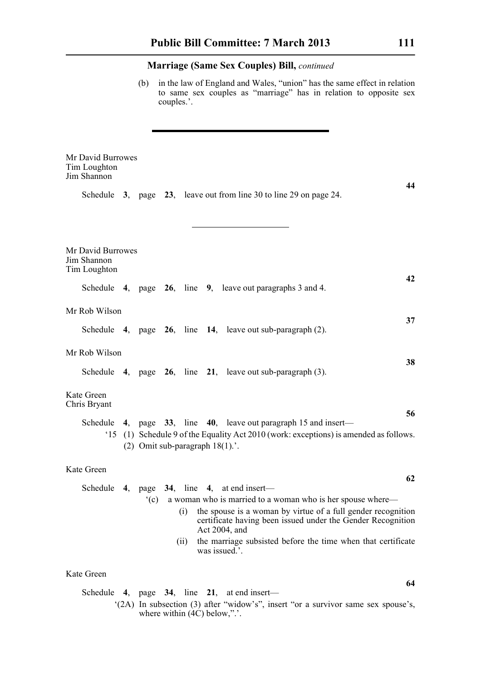(b) in the law of England and Wales, "union" has the same effect in relation to same sex couples as "marriage" has in relation to opposite sex couples.'.

| Mr David Burrowes<br>Tim Loughton<br>Jim Shannon |    |                                    |      |               |                                                                                                                                                                                                                                                                                                                       | 44 |
|--------------------------------------------------|----|------------------------------------|------|---------------|-----------------------------------------------------------------------------------------------------------------------------------------------------------------------------------------------------------------------------------------------------------------------------------------------------------------------|----|
|                                                  |    |                                    |      |               | Schedule 3, page 23, leave out from line 30 to line 29 on page 24.                                                                                                                                                                                                                                                    |    |
| Mr David Burrowes<br>Jim Shannon<br>Tim Loughton |    |                                    |      |               |                                                                                                                                                                                                                                                                                                                       |    |
|                                                  |    |                                    |      |               | Schedule $\,$ 4, page $\,$ 26, line $\,$ 9, leave out paragraphs 3 and 4.                                                                                                                                                                                                                                             | 42 |
| Mr Rob Wilson                                    |    |                                    |      |               |                                                                                                                                                                                                                                                                                                                       | 37 |
|                                                  |    |                                    |      |               | Schedule $4$ , page $26$ , line $14$ , leave out sub-paragraph (2).                                                                                                                                                                                                                                                   |    |
| Mr Rob Wilson                                    |    |                                    |      |               |                                                                                                                                                                                                                                                                                                                       | 38 |
|                                                  |    |                                    |      |               | Schedule 4, page $26$ , line $21$ , leave out sub-paragraph $(3)$ .                                                                                                                                                                                                                                                   |    |
| Kate Green<br>Chris Bryant                       |    |                                    |      |               |                                                                                                                                                                                                                                                                                                                       | 56 |
|                                                  |    | (2) Omit sub-paragraph $18(1)$ .'. |      |               | Schedule 4, page 33, line 40, leave out paragraph 15 and insert—<br>(1) Schedule 9 of the Equality Act 2010 (work: exceptions) is amended as follows.                                                                                                                                                                 |    |
| Kate Green                                       |    |                                    |      |               |                                                                                                                                                                                                                                                                                                                       | 62 |
| Schedule                                         | 4, |                                    | (ii) | was issued.'. | page 34, line 4, at end insert-<br>(c) a woman who is married to a woman who is her spouse where—<br>(i) the spouse is a woman by virtue of a full gender recognition<br>certificate having been issued under the Gender Recognition<br>Act 2004, and<br>the marriage subsisted before the time when that certificate |    |
| Kate Green                                       |    |                                    |      |               |                                                                                                                                                                                                                                                                                                                       | 64 |
|                                                  |    |                                    |      |               | Schedule 4, page $34$ , line $21$ , at end insert—                                                                                                                                                                                                                                                                    |    |

'(2A) In subsection (3) after "widow's", insert "or a survivor same sex spouse's, where within  $(4C)$  below,".'.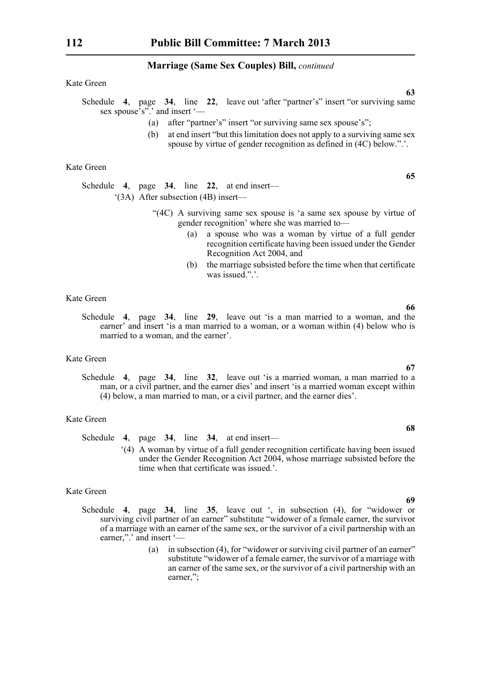Kate Green

Schedule **4**, page **34**, line **22**, leave out 'after "partner's" insert "or surviving same sex spouse's". and insert '—

- (a) after "partner's" insert "or surviving same sex spouse's";
- (b) at end insert "but this limitation does not apply to a surviving same sex spouse by virtue of gender recognition as defined in (4C) below.".'.

Kate Green

Schedule **4**, page **34**, line **22**, at end insert— '(3A) After subsection (4B) insert—

- "(4C) A surviving same sex spouse is 'a same sex spouse by virtue of gender recognition' where she was married to—
	- (a) a spouse who was a woman by virtue of a full gender recognition certificate having been issued under the Gender Recognition Act 2004, and
	- (b) the marriage subsisted before the time when that certificate was issued."

### Kate Green

Schedule **4**, page **34**, line **29**, leave out 'is a man married to a woman, and the earner' and insert 'is a man married to a woman, or a woman within (4) below who is married to a woman, and the earner'.

#### Kate Green

Schedule **4**, page **34**, line **32**, leave out 'is a married woman, a man married to a man, or a civil partner, and the earner dies' and insert 'is a married woman except within (4) below, a man married to man, or a civil partner, and the earner dies'.

#### Kate Green

Schedule **4**, page **34**, line **34**, at end insert—

'(4) A woman by virtue of a full gender recognition certificate having been issued under the Gender Recognition Act 2004, whose marriage subsisted before the time when that certificate was issued.'.

# Kate Green

- Schedule **4**, page **34**, line **35**, leave out ', in subsection (4), for "widower or surviving civil partner of an earner" substitute "widower of a female earner, the survivor of a marriage with an earner of the same sex, or the survivor of a civil partnership with an earner,",' and insert '—
	- (a) in subsection (4), for "widower or surviving civil partner of an earner" substitute "widower of a female earner, the survivor of a marriage with an earner of the same sex, or the survivor of a civil partnership with an earner,";

# **67**

**68**

**66**

**63**

**65**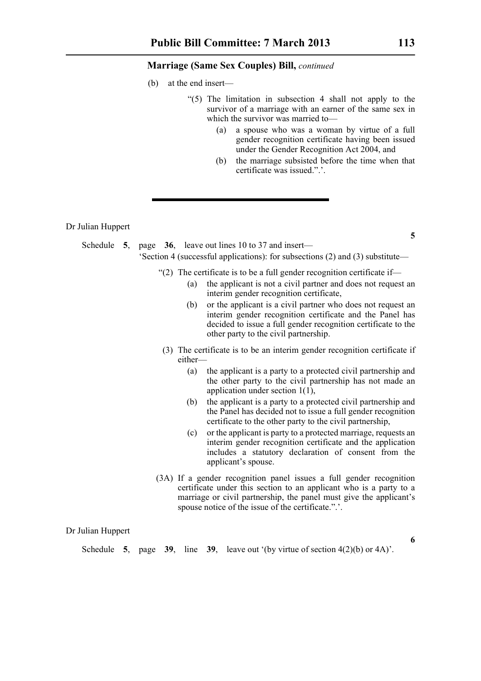- (b) at the end insert—
	- "(5) The limitation in subsection 4 shall not apply to the survivor of a marriage with an earner of the same sex in which the survivor was married to—
		- (a) a spouse who was a woman by virtue of a full gender recognition certificate having been issued under the Gender Recognition Act 2004, and
		- (b) the marriage subsisted before the time when that certificate was issued.".'.

Dr Julian Huppert

Schedule **5**, page **36**, leave out lines 10 to 37 and insert— 'Section 4 (successful applications): for subsections (2) and (3) substitute—

- "(2) The certificate is to be a full gender recognition certificate if—
	- (a) the applicant is not a civil partner and does not request an interim gender recognition certificate,
	- (b) or the applicant is a civil partner who does not request an interim gender recognition certificate and the Panel has decided to issue a full gender recognition certificate to the other party to the civil partnership.
- (3) The certificate is to be an interim gender recognition certificate if either—
	- (a) the applicant is a party to a protected civil partnership and the other party to the civil partnership has not made an application under section 1(1),
	- (b) the applicant is a party to a protected civil partnership and the Panel has decided not to issue a full gender recognition certificate to the other party to the civil partnership,
	- (c) or the applicant is party to a protected marriage, requests an interim gender recognition certificate and the application includes a statutory declaration of consent from the applicant's spouse.
- (3A) If a gender recognition panel issues a full gender recognition certificate under this section to an applicant who is a party to a marriage or civil partnership, the panel must give the applicant's spouse notice of the issue of the certificate.".'.

Dr Julian Huppert

Schedule **5**, page **39**, line **39**, leave out '(by virtue of section  $4(2)(b)$  or  $4A$ )'.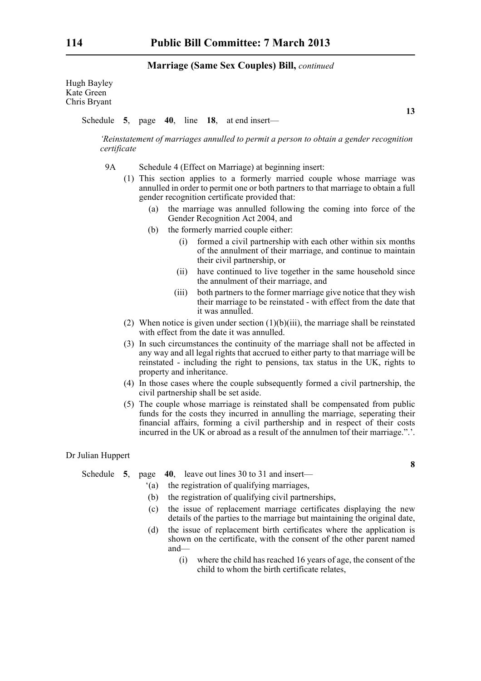Hugh Bayley Kate Green Chris Bryant

Schedule **5**, page **40**, line **18**, at end insert—

**13**

**8**

*'Reinstatement of marriages annulled to permit a person to obtain a gender recognition certificate*

- 9A Schedule 4 (Effect on Marriage) at beginning insert:
	- (1) This section applies to a formerly married couple whose marriage was annulled in order to permit one or both partners to that marriage to obtain a full gender recognition certificate provided that:
		- (a) the marriage was annulled following the coming into force of the Gender Recognition Act 2004, and
		- (b) the formerly married couple either:
			- (i) formed a civil partnership with each other within six months of the annulment of their marriage, and continue to maintain their civil partnership, or
			- (ii) have continued to live together in the same household since the annulment of their marriage, and
			- (iii) both partners to the former marriage give notice that they wish their marriage to be reinstated - with effect from the date that it was annulled.
	- (2) When notice is given under section  $(1)(b)(iii)$ , the marriage shall be reinstated with effect from the date it was annulled.
	- (3) In such circumstances the continuity of the marriage shall not be affected in any way and all legal rights that accrued to either party to that marriage will be reinstated - including the right to pensions, tax status in the UK, rights to property and inheritance.
	- (4) In those cases where the couple subsequently formed a civil partnership, the civil partnership shall be set aside.
	- (5) The couple whose marriage is reinstated shall be compensated from public funds for the costs they incurred in annulling the marriage, seperating their financial affairs, forming a civil parthership and in respect of their costs incurred in the UK or abroad as a result of the annulmen tof their marriage.".'.

#### Dr Julian Huppert

Schedule **5**, page **40**, leave out lines 30 to 31 and insert—

- '(a) the registration of qualifying marriages,
- (b) the registration of qualifying civil partnerships,
- (c) the issue of replacement marriage certificates displaying the new details of the parties to the marriage but maintaining the original date,
- (d) the issue of replacement birth certificates where the application is shown on the certificate, with the consent of the other parent named and—
	- (i) where the child has reached 16 years of age, the consent of the child to whom the birth certificate relates,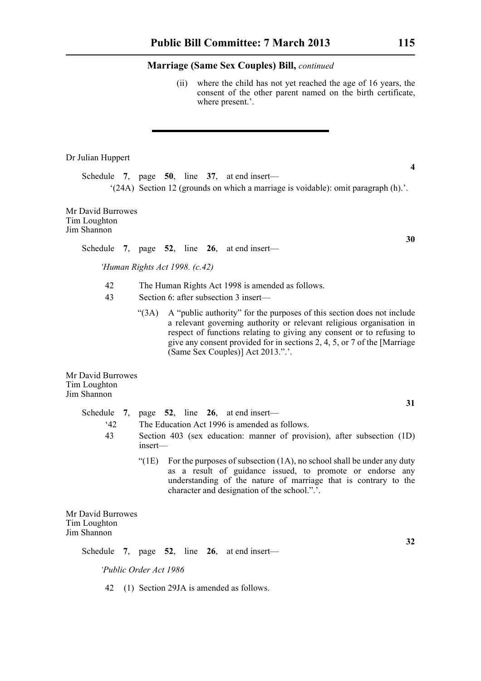(ii) where the child has not yet reached the age of 16 years, the consent of the other parent named on the birth certificate, where present.'.

#### Dr Julian Huppert

Schedule **7**, page **50**, line **37**, at end insert— '(24A) Section 12 (grounds on which a marriage is voidable): omit paragraph (h).'.

Mr David Burrowes Tim Loughton Jim Shannon

Schedule **7**, page **52**, line **26**, at end insert—

*'Human Rights Act 1998. (c.42)*

- 42 The Human Rights Act 1998 is amended as follows.
- 43 Section 6: after subsection 3 insert—
	- "(3A) A "public authority" for the purposes of this section does not include a relevant governing authority or relevant religious organisation in respect of functions relating to giving any consent or to refusing to give any consent provided for in sections 2, 4, 5, or 7 of the [Marriage (Same Sex Couples)] Act 2013.".'.

Mr David Burrowes Tim Loughton Jim Shannon

> Schedule **7**, page **52**, line **26**, at end insert— '42 The Education Act 1996 is amended as follows. 43 Section 403 (sex education: manner of provision), after subsection (1D) insert— "( $1E$ ) For the purposes of subsection  $(1A)$ , no school shall be under any duty as a result of guidance issued, to promote or endorse any understanding of the nature of marriage that is contrary to the character and designation of the school.".'.

Mr David Burrowes Tim Loughton Jim Shannon

Schedule **7**, page **52**, line **26**, at end insert—

*'Public Order Act 1986*

42 (1) Section 29JA is amended as follows.

**4**

**30**

**31**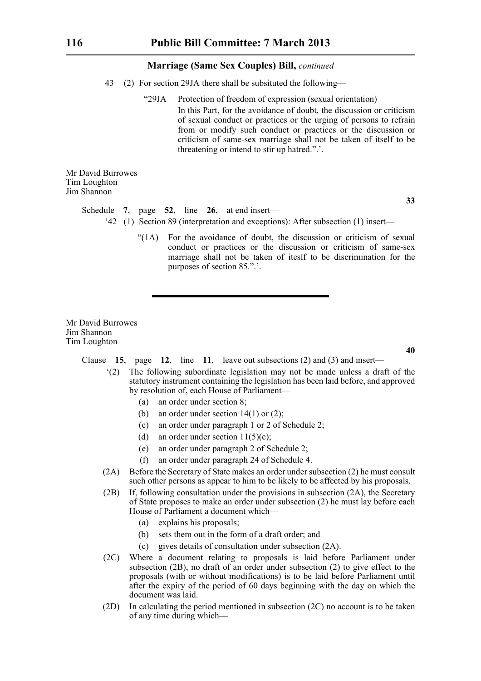- 43 (2) For section 29JA there shall be subsituted the following—
	- "29JA Protection of freedom of expression (sexual orientation) In this Part, for the avoidance of doubt, the discussion or criticism of sexual conduct or practices or the urging of persons to refrain from or modify such conduct or practices or the discussion or criticism of same-sex marriage shall not be taken of itself to be threatening or intend to stir up hatred.".'.

Mr David Burrowes Tim Loughton Jim Shannon

#### Schedule **7**, page **52**, line **26**, at end insert—

- '42 (1) Section 89 (interpretation and exceptions): After subsection (1) insert—
	- "(1A) For the avoidance of doubt, the discussion or criticism of sexual conduct or practices or the discussion or criticism of same-sex marriage shall not be taken of iteslf to be discrimination for the purposes of section 85.".'.

Mr David Burrowes Jim Shannon Tim Loughton

**40**

- Clause **15**, page **12**, line **11**, leave out subsections (2) and (3) and insert—
	- '(2) The following subordinate legislation may not be made unless a draft of the statutory instrument containing the legislation has been laid before, and approved by resolution of, each House of Parliament—
		- (a) an order under section 8;
		- (b) an order under section  $14(1)$  or  $(2)$ ;
		- (c) an order under paragraph 1 or 2 of Schedule 2;
		- (d) an order under section  $11(5)(c)$ ;
		- (e) an order under paragraph 2 of Schedule 2;
		- (f) an order under paragraph 24 of Schedule 4.
	- (2A) Before the Secretary of State makes an order under subsection (2) he must consult such other persons as appear to him to be likely to be affected by his proposals.
	- (2B) If, following consultation under the provisions in subsection (2A), the Secretary of State proposes to make an order under subsection (2) he must lay before each House of Parliament a document which—
		- (a) explains his proposals;
		- (b) sets them out in the form of a draft order; and
		- (c) gives details of consultation under subsection (2A).
	- (2C) Where a document relating to proposals is laid before Parliament under subsection (2B), no draft of an order under subsection (2) to give effect to the proposals (with or without modifications) is to be laid before Parliament until after the expiry of the period of 60 days beginning with the day on which the document was laid.
	- (2D) In calculating the period mentioned in subsection (2C) no account is to be taken of any time during which—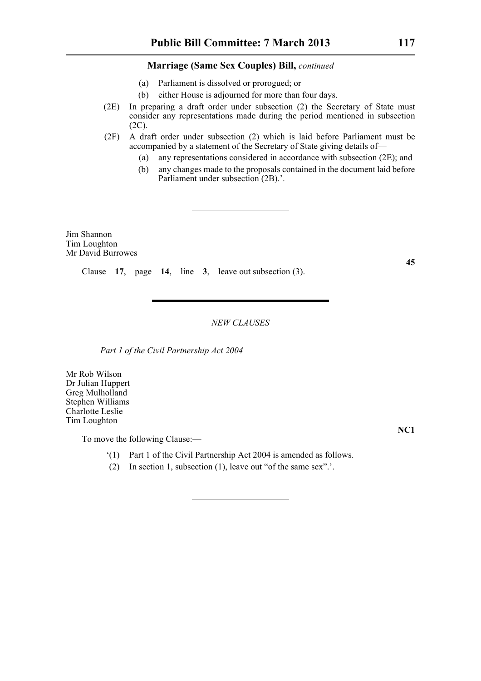- (a) Parliament is dissolved or prorogued; or
- (b) either House is adjourned for more than four days.
- (2E) In preparing a draft order under subsection (2) the Secretary of State must consider any representations made during the period mentioned in subsection (2C).
- (2F) A draft order under subsection (2) which is laid before Parliament must be accompanied by a statement of the Secretary of State giving details of—
	- (a) any representations considered in accordance with subsection (2E); and
	- (b) any changes made to the proposals contained in the document laid before Parliament under subsection (2B).'.

Jim Shannon Tim Loughton Mr David Burrowes

Clause **17**, page **14**, line **3**, leave out subsection (3).

*NEW CLAUSES*

*Part 1 of the Civil Partnership Act 2004*

Mr Rob Wilson Dr Julian Huppert Greg Mulholland Stephen Williams Charlotte Leslie Tim Loughton

To move the following Clause:—

- '(1) Part 1 of the Civil Partnership Act 2004 is amended as follows.
- (2) In section 1, subsection (1), leave out "of the same sex".'.

**NC1**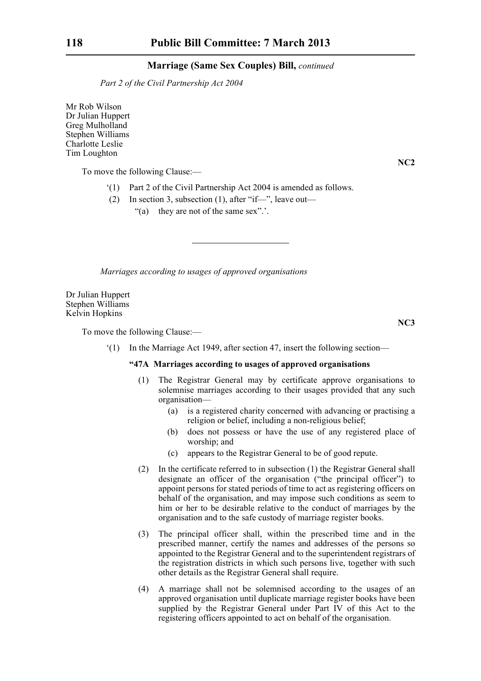*Part 2 of the Civil Partnership Act 2004*

Mr Rob Wilson Dr Julian Huppert Greg Mulholland Stephen Williams Charlotte Leslie Tim Loughton

To move the following Clause:—

- '(1) Part 2 of the Civil Partnership Act 2004 is amended as follows.
- (2) In section 3, subsection (1), after "if—", leave out—
	- "(a) they are not of the same sex".'.

*Marriages according to usages of approved organisations*

Dr Julian Huppert Stephen Williams Kelvin Hopkins

To move the following Clause:—

'(1) In the Marriage Act 1949, after section 47, insert the following section—

### **"47A Marriages according to usages of approved organisations**

- (1) The Registrar General may by certificate approve organisations to solemnise marriages according to their usages provided that any such organisation—
	- (a) is a registered charity concerned with advancing or practising a religion or belief, including a non-religious belief;
	- (b) does not possess or have the use of any registered place of worship; and
	- (c) appears to the Registrar General to be of good repute.
- (2) In the certificate referred to in subsection (1) the Registrar General shall designate an officer of the organisation ("the principal officer") to appoint persons for stated periods of time to act as registering officers on behalf of the organisation, and may impose such conditions as seem to him or her to be desirable relative to the conduct of marriages by the organisation and to the safe custody of marriage register books.
- (3) The principal officer shall, within the prescribed time and in the prescribed manner, certify the names and addresses of the persons so appointed to the Registrar General and to the superintendent registrars of the registration districts in which such persons live, together with such other details as the Registrar General shall require.
- (4) A marriage shall not be solemnised according to the usages of an approved organisation until duplicate marriage register books have been supplied by the Registrar General under Part IV of this Act to the registering officers appointed to act on behalf of the organisation.

**NC2**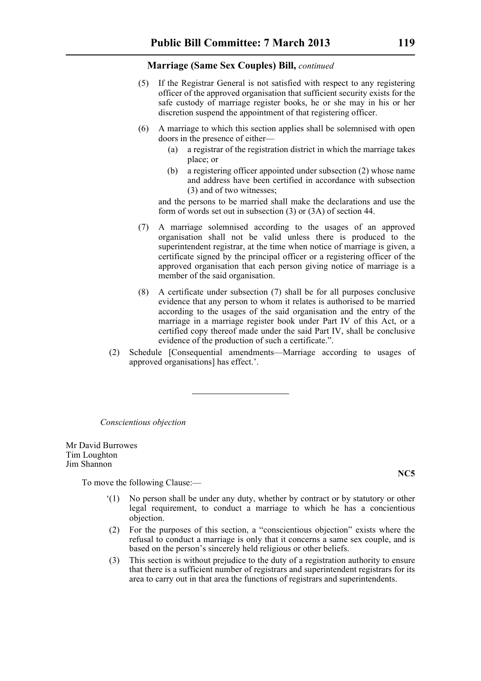- (5) If the Registrar General is not satisfied with respect to any registering officer of the approved organisation that sufficient security exists for the safe custody of marriage register books, he or she may in his or her discretion suspend the appointment of that registering officer.
- (6) A marriage to which this section applies shall be solemnised with open doors in the presence of either—
	- (a) a registrar of the registration district in which the marriage takes place; or
	- (b) a registering officer appointed under subsection (2) whose name and address have been certified in accordance with subsection (3) and of two witnesses;

and the persons to be married shall make the declarations and use the form of words set out in subsection (3) or (3A) of section 44.

- (7) A marriage solemnised according to the usages of an approved organisation shall not be valid unless there is produced to the superintendent registrar, at the time when notice of marriage is given, a certificate signed by the principal officer or a registering officer of the approved organisation that each person giving notice of marriage is a member of the said organisation.
- (8) A certificate under subsection (7) shall be for all purposes conclusive evidence that any person to whom it relates is authorised to be married according to the usages of the said organisation and the entry of the marriage in a marriage register book under Part IV of this Act, or a certified copy thereof made under the said Part IV, shall be conclusive evidence of the production of such a certificate.".
- (2) Schedule [Consequential amendments—Marriage according to usages of approved organisations] has effect.'.

*Conscientious objection*

Mr David Burrowes Tim Loughton Jim Shannon

To move the following Clause:—

- '(1) No person shall be under any duty, whether by contract or by statutory or other legal requirement, to conduct a marriage to which he has a concientious objection.
- (2) For the purposes of this section, a "conscientious objection" exists where the refusal to conduct a marriage is only that it concerns a same sex couple, and is based on the person's sincerely held religious or other beliefs.
- (3) This section is without prejudice to the duty of a registration authority to ensure that there is a sufficient number of registrars and superintendent registrars for its area to carry out in that area the functions of registrars and superintendents.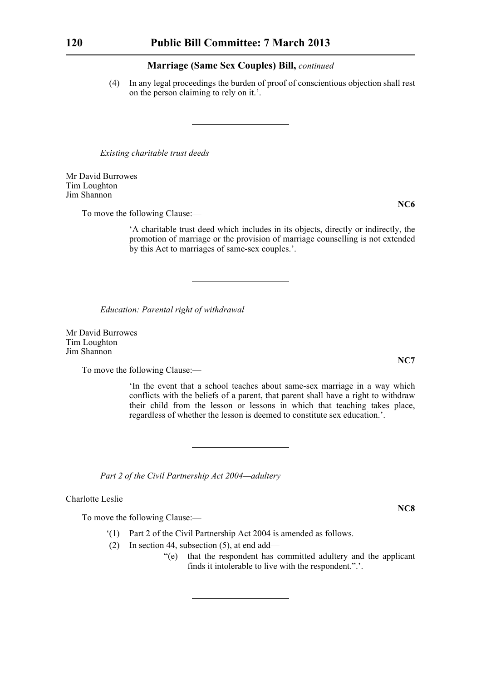(4) In any legal proceedings the burden of proof of conscientious objection shall rest on the person claiming to rely on it.'.

*Existing charitable trust deeds*

Mr David Burrowes Tim Loughton Jim Shannon

**NC6**

To move the following Clause:—

'A charitable trust deed which includes in its objects, directly or indirectly, the promotion of marriage or the provision of marriage counselling is not extended by this Act to marriages of same-sex couples.'.

*Education: Parental right of withdrawal*

Mr David Burrowes Tim Loughton Jim Shannon

To move the following Clause:—

'In the event that a school teaches about same-sex marriage in a way which conflicts with the beliefs of a parent, that parent shall have a right to withdraw their child from the lesson or lessons in which that teaching takes place, regardless of whether the lesson is deemed to constitute sex education.'.

*Part 2 of the Civil Partnership Act 2004—adultery*

Charlotte Leslie

To move the following Clause:—

- '(1) Part 2 of the Civil Partnership Act 2004 is amended as follows.
- (2) In section 44, subsection (5), at end add—
	- "(e) that the respondent has committed adultery and the applicant finds it intolerable to live with the respondent.".'.

**NC7**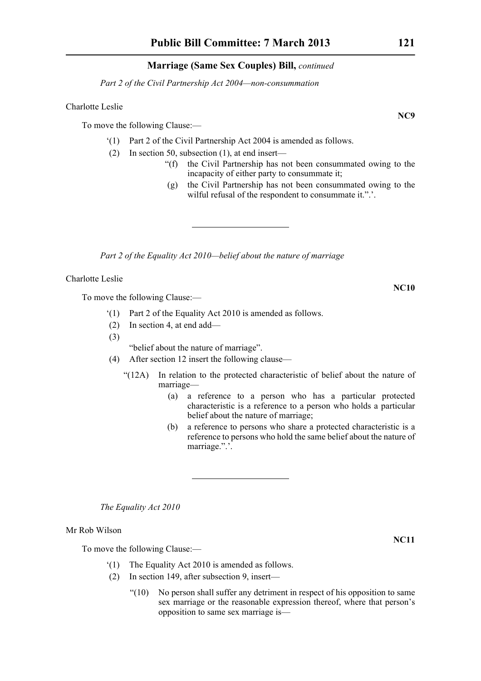*Part 2 of the Civil Partnership Act 2004—non-consummation*

#### Charlotte Leslie

To move the following Clause:—

- '(1) Part 2 of the Civil Partnership Act 2004 is amended as follows.
- (2) In section 50, subsection (1), at end insert—
	- "(f) the Civil Partnership has not been consummated owing to the incapacity of either party to consummate it;
	- (g) the Civil Partnership has not been consummated owing to the wilful refusal of the respondent to consummate it.".'.

*Part 2 of the Equality Act 2010—belief about the nature of marriage*

Charlotte Leslie

To move the following Clause:—

- '(1) Part 2 of the Equality Act 2010 is amended as follows.
- (2) In section 4, at end add—
- (3)

"belief about the nature of marriage".

- (4) After section 12 insert the following clause—
	- "(12A) In relation to the protected characteristic of belief about the nature of marriage—
		- (a) a reference to a person who has a particular protected characteristic is a reference to a person who holds a particular belief about the nature of marriage;
		- (b) a reference to persons who share a protected characteristic is a reference to persons who hold the same belief about the nature of marriage.".'.

*The Equality Act 2010*

Mr Rob Wilson

To move the following Clause:—

- '(1) The Equality Act 2010 is amended as follows.
- (2) In section 149, after subsection 9, insert—
	- "(10) No person shall suffer any detriment in respect of his opposition to same sex marriage or the reasonable expression thereof, where that person's opposition to same sex marriage is—

**NC9**

**NC10**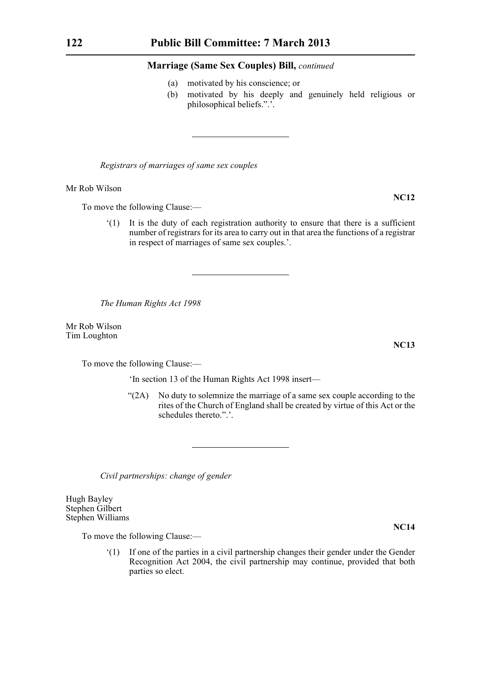- (a) motivated by his conscience; or
- (b) motivated by his deeply and genuinely held religious or philosophical beliefs.".'.

*Registrars of marriages of same sex couples*

Mr Rob Wilson

To move the following Clause:—

'(1) It is the duty of each registration authority to ensure that there is a sufficient number of registrars for its area to carry out in that area the functions of a registrar in respect of marriages of same sex couples.'.

*The Human Rights Act 1998*

Mr Rob Wilson Tim Loughton

To move the following Clause:—

'In section 13 of the Human Rights Act 1998 insert—

"(2A) No duty to solemnize the marriage of a same sex couple according to the rites of the Church of England shall be created by virtue of this Act or the schedules thereto.".'.

*Civil partnerships: change of gender*

Hugh Bayley Stephen Gilbert Stephen Williams

To move the following Clause:—

'(1) If one of the parties in a civil partnership changes their gender under the Gender Recognition Act 2004, the civil partnership may continue, provided that both parties so elect.

**NC13**

**NC12**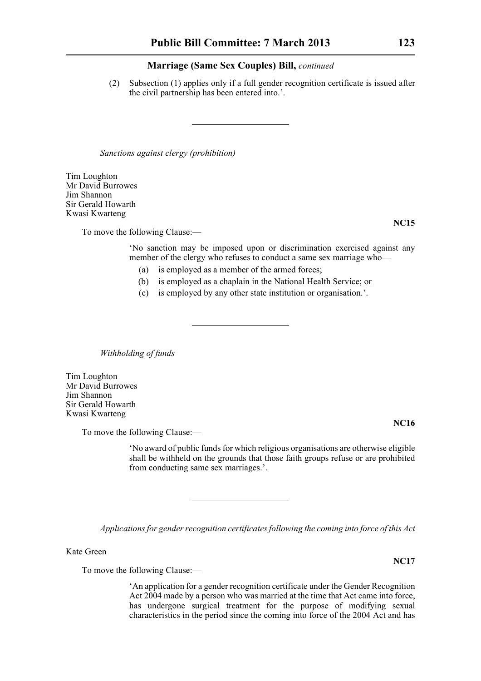(2) Subsection (1) applies only if a full gender recognition certificate is issued after the civil partnership has been entered into.'.

*Sanctions against clergy (prohibition)*

Tim Loughton Mr David Burrowes Jim Shannon Sir Gerald Howarth Kwasi Kwarteng

To move the following Clause:—

'No sanction may be imposed upon or discrimination exercised against any member of the clergy who refuses to conduct a same sex marriage who—

- (a) is employed as a member of the armed forces;
- (b) is employed as a chaplain in the National Health Service; or
- (c) is employed by any other state institution or organisation.'.

*Withholding of funds*

Tim Loughton Mr David Burrowes Jim Shannon Sir Gerald Howarth Kwasi Kwarteng

To move the following Clause:—

'No award of public funds for which religious organisations are otherwise eligible shall be withheld on the grounds that those faith groups refuse or are prohibited from conducting same sex marriages.'.

*Applications for gender recognition certificates following the coming into force of this Act*

Kate Green

To move the following Clause:—

'An application for a gender recognition certificate under the Gender Recognition Act 2004 made by a person who was married at the time that Act came into force, has undergone surgical treatment for the purpose of modifying sexual characteristics in the period since the coming into force of the 2004 Act and has

**NC15**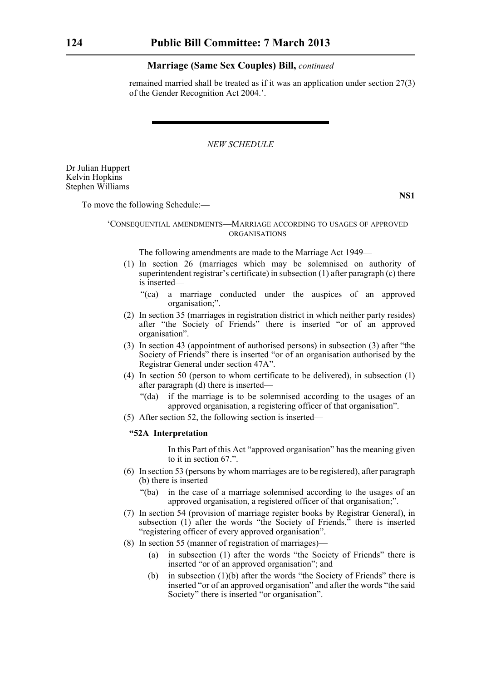remained married shall be treated as if it was an application under section 27(3) of the Gender Recognition Act 2004.'.

*NEW SCHEDULE*

Dr Julian Huppert Kelvin Hopkins Stephen Williams

**NS1**

To move the following Schedule:—

#### 'CONSEQUENTIAL AMENDMENTS—MARRIAGE ACCORDING TO USAGES OF APPROVED ORGANISATIONS

The following amendments are made to the Marriage Act 1949—

- (1) In section 26 (marriages which may be solemnised on authority of superintendent registrar's certificate) in subsection (1) after paragraph (c) there is inserted—
	- "(ca) a marriage conducted under the auspices of an approved organisation;".
- (2) In section 35 (marriages in registration district in which neither party resides) after "the Society of Friends" there is inserted "or of an approved organisation".
- (3) In section 43 (appointment of authorised persons) in subsection (3) after "the Society of Friends" there is inserted "or of an organisation authorised by the Registrar General under section 47A".
- (4) In section 50 (person to whom certificate to be delivered), in subsection (1) after paragraph (d) there is inserted—
	- "(da) if the marriage is to be solemnised according to the usages of an approved organisation, a registering officer of that organisation".
- (5) After section 52, the following section is inserted—

#### **"52A Interpretation**

In this Part of this Act "approved organisation" has the meaning given to it in section 67.".

- (6) In section 53 (persons by whom marriages are to be registered), after paragraph (b) there is inserted—
	- "(ba) in the case of a marriage solemnised according to the usages of an approved organisation, a registered officer of that organisation;".
- (7) In section 54 (provision of marriage register books by Registrar General), in subsection (1) after the words "the Society of Friends," there is inserted "registering officer of every approved organisation".
- (8) In section 55 (manner of registration of marriages)—
	- (a) in subsection (1) after the words "the Society of Friends" there is inserted "or of an approved organisation"; and
	- (b) in subsection (1)(b) after the words "the Society of Friends" there is inserted "or of an approved organisation" and after the words "the said Society" there is inserted "or organisation".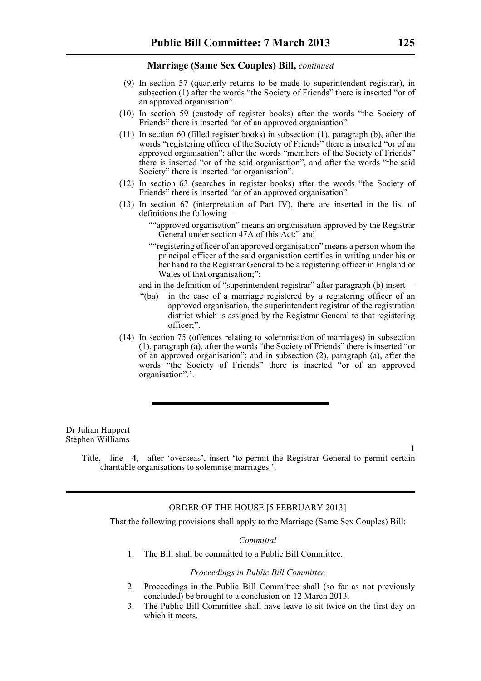- (9) In section 57 (quarterly returns to be made to superintendent registrar), in subsection (1) after the words "the Society of Friends" there is inserted "or of an approved organisation".
- (10) In section 59 (custody of register books) after the words "the Society of Friends" there is inserted "or of an approved organisation".
- (11) In section 60 (filled register books) in subsection (1), paragraph (b), after the words "registering officer of the Society of Friends" there is inserted "or of an approved organisation"; after the words "members of the Society of Friends" there is inserted "or of the said organisation", and after the words "the said Society" there is inserted "or organisation".
- (12) In section 63 (searches in register books) after the words "the Society of Friends" there is inserted "or of an approved organisation".
- (13) In section 67 (interpretation of Part IV), there are inserted in the list of definitions the following—
	- ""approved organisation" means an organisation approved by the Registrar General under section 47A of this Act;" and
	- ""registering officer of an approved organisation" means a person whom the principal officer of the said organisation certifies in writing under his or her hand to the Registrar General to be a registering officer in England or Wales of that organisation;";
	- and in the definition of "superintendent registrar" after paragraph (b) insert—
	- "(ba) in the case of a marriage registered by a registering officer of an approved organisation, the superintendent registrar of the registration district which is assigned by the Registrar General to that registering officer;".
- (14) In section 75 (offences relating to solemnisation of marriages) in subsection (1), paragraph (a), after the words "the Society of Friends" there is inserted "or of an approved organisation"; and in subsection (2), paragraph (a), after the words "the Society of Friends" there is inserted "or of an approved organisation".'.

Dr Julian Huppert Stephen Williams

> Title, line **4**, after 'overseas', insert 'to permit the Registrar General to permit certain charitable organisations to solemnise marriages.'.

#### ORDER OF THE HOUSE [5 FEBRUARY 2013]

That the following provisions shall apply to the Marriage (Same Sex Couples) Bill:

#### *Committal*

1. The Bill shall be committed to a Public Bill Committee.

#### *Proceedings in Public Bill Committee*

- 2. Proceedings in the Public Bill Committee shall (so far as not previously concluded) be brought to a conclusion on 12 March 2013.
- 3. The Public Bill Committee shall have leave to sit twice on the first day on which it meets.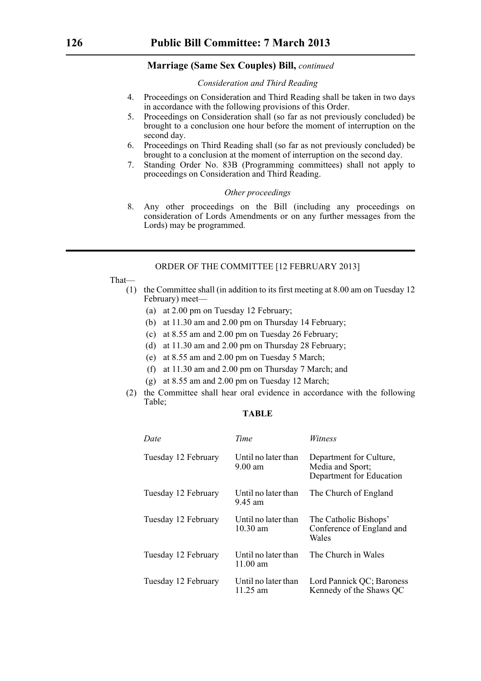#### *Consideration and Third Reading*

- 4. Proceedings on Consideration and Third Reading shall be taken in two days in accordance with the following provisions of this Order.
- 5. Proceedings on Consideration shall (so far as not previously concluded) be brought to a conclusion one hour before the moment of interruption on the second day.
- 6. Proceedings on Third Reading shall (so far as not previously concluded) be brought to a conclusion at the moment of interruption on the second day.
- 7. Standing Order No. 83B (Programming committees) shall not apply to proceedings on Consideration and Third Reading.

#### *Other proceedings*

8. Any other proceedings on the Bill (including any proceedings on consideration of Lords Amendments or on any further messages from the Lords) may be programmed.

#### ORDER OF THE COMMITTEE [12 FEBRUARY 2013]

That—

- (1) the Committee shall (in addition to its first meeting at 8.00 am on Tuesday 12 February) meet—
	- (a) at 2.00 pm on Tuesday 12 February;
	- (b) at 11.30 am and 2.00 pm on Thursday 14 February;
	- (c) at 8.55 am and 2.00 pm on Tuesday 26 February;
	- (d) at 11.30 am and 2.00 pm on Thursday 28 February;
	- (e) at 8.55 am and 2.00 pm on Tuesday 5 March;
	- (f) at 11.30 am and 2.00 pm on Thursday 7 March; and
	- (g) at 8.55 am and 2.00 pm on Tuesday 12 March;
- (2) the Committee shall hear oral evidence in accordance with the following Table;

# **TABLE**

| Date                | Time                                      | Witness                                                                 |
|---------------------|-------------------------------------------|-------------------------------------------------------------------------|
| Tuesday 12 February | Until no later than<br>$9.00$ am          | Department for Culture,<br>Media and Sport;<br>Department for Education |
| Tuesday 12 February | Until no later than<br>9.45 am            | The Church of England                                                   |
| Tuesday 12 February | Until no later than<br>$10.30 \text{ am}$ | The Catholic Bishops'<br>Conference of England and<br>Wales             |
| Tuesday 12 February | Until no later than<br>$11.00$ am         | The Church in Wales                                                     |
| Tuesday 12 February | Until no later than<br>11.25 am           | Lord Pannick QC; Baroness<br>Kennedy of the Shaws QC                    |